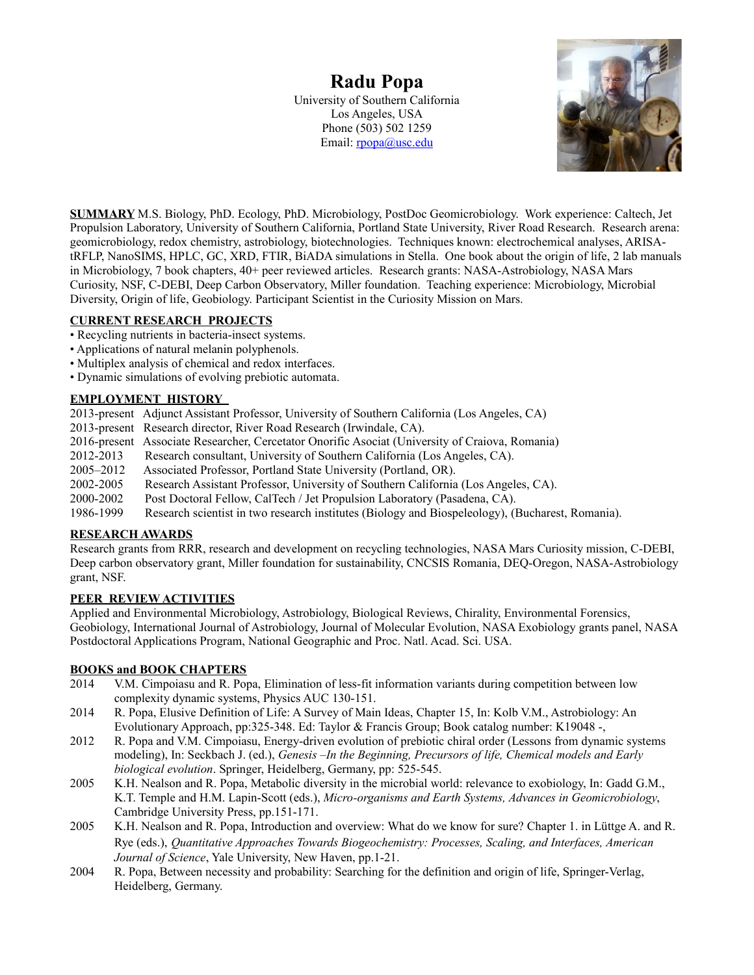# **Radu Popa**

University of Southern California Los Angeles, USA Phone (503) 502 1259 Email: [rpopa@usc.edu](mailto:rpopa@usc.edu)



**SUMMARY** M.S. Biology, PhD. Ecology, PhD. Microbiology, PostDoc Geomicrobiology. Work experience: Caltech, Jet Propulsion Laboratory, University of Southern California, Portland State University, River Road Research. Research arena: geomicrobiology, redox chemistry, astrobiology, biotechnologies. Techniques known: electrochemical analyses, ARISAtRFLP, NanoSIMS, HPLC, GC, XRD, FTIR, BiADA simulations in Stella. One book about the origin of life, 2 lab manuals in Microbiology, 7 book chapters, 40+ peer reviewed articles. Research grants: NASA-Astrobiology, NASA Mars Curiosity, NSF, C-DEBI, Deep Carbon Observatory, Miller foundation. Teaching experience: Microbiology, Microbial Diversity, Origin of life, Geobiology. Participant Scientist in the Curiosity Mission on Mars.

# **CURRENT RESEARCH PROJECTS**

- Recycling nutrients in bacteria-insect systems.
- Applications of natural melanin polyphenols.
- Multiplex analysis of chemical and redox interfaces.
- Dynamic simulations of evolving prebiotic automata.

# **EMPLOYMENT HISTORY**

2013-present Adjunct Assistant Professor, University of Southern California (Los Angeles, CA)

- 2013-present Research director, River Road Research (Irwindale, CA).
- 2016-present Associate Researcher, Cercetator Onorific Asociat (University of Craiova, Romania)
- Research consultant, University of Southern California (Los Angeles, CA).
- 2005–2012 Associated Professor, Portland State University (Portland, OR).
- 2002-2005 Research Assistant Professor, University of Southern California (Los Angeles, CA).

2000-2002 Post Doctoral Fellow, CalTech / Jet Propulsion Laboratory (Pasadena, CA).

1986-1999 Research scientist in two research institutes (Biology and Biospeleology), (Bucharest, Romania).

### **RESEARCH AWARDS**

Research grants from RRR, research and development on recycling technologies, NASA Mars Curiosity mission, C-DEBI, Deep carbon observatory grant, Miller foundation for sustainability, CNCSIS Romania, DEQ-Oregon, NASA-Astrobiology grant, NSF.

### **PEER REVIEW ACTIVITIES**

Applied and Environmental Microbiology, Astrobiology, Biological Reviews, Chirality, Environmental Forensics, Geobiology, International Journal of Astrobiology, Journal of Molecular Evolution, NASA Exobiology grants panel, NASA Postdoctoral Applications Program, National Geographic and Proc. Natl. Acad. Sci. USA.

### **BOOKS and BOOK CHAPTERS**

- 2014 V.M. Cimpoiasu and R. Popa, Elimination of less-fit information variants during competition between low complexity dynamic systems, Physics AUC 130-151.
- 2014 R. Popa, Elusive Definition of Life: A Survey of Main Ideas, Chapter 15, In: Kolb V.M., Astrobiology: An Evolutionary Approach, pp:325-348. Ed: Taylor & Francis Group; Book catalog number: K19048 -,
- 2012 R. Popa and V.M. Cimpoiasu, Energy-driven evolution of prebiotic chiral order (Lessons from dynamic systems modeling), In: Seckbach J. (ed.), *Genesis –In the Beginning, Precursors of life, Chemical models and Early biological evolution*. Springer, Heidelberg, Germany, pp: 525-545.
- 2005 K.H. Nealson and R. Popa, Metabolic diversity in the microbial world: relevance to exobiology, In: Gadd G.M., K.T. Temple and H.M. Lapin-Scott (eds.), *Micro-organisms and Earth Systems, Advances in Geomicrobiology*, Cambridge University Press, pp.151-171.
- 2005 K.H. Nealson and R. Popa, Introduction and overview: What do we know for sure? Chapter 1. in Lüttge A. and R. Rye (eds.), *Quantitative Approaches Towards Biogeochemistry: Processes, Scaling, and Interfaces, American Journal of Science*, Yale University, New Haven, pp.1-21.
- 2004 R. Popa, Between necessity and probability: Searching for the definition and origin of life, Springer-Verlag, Heidelberg, Germany.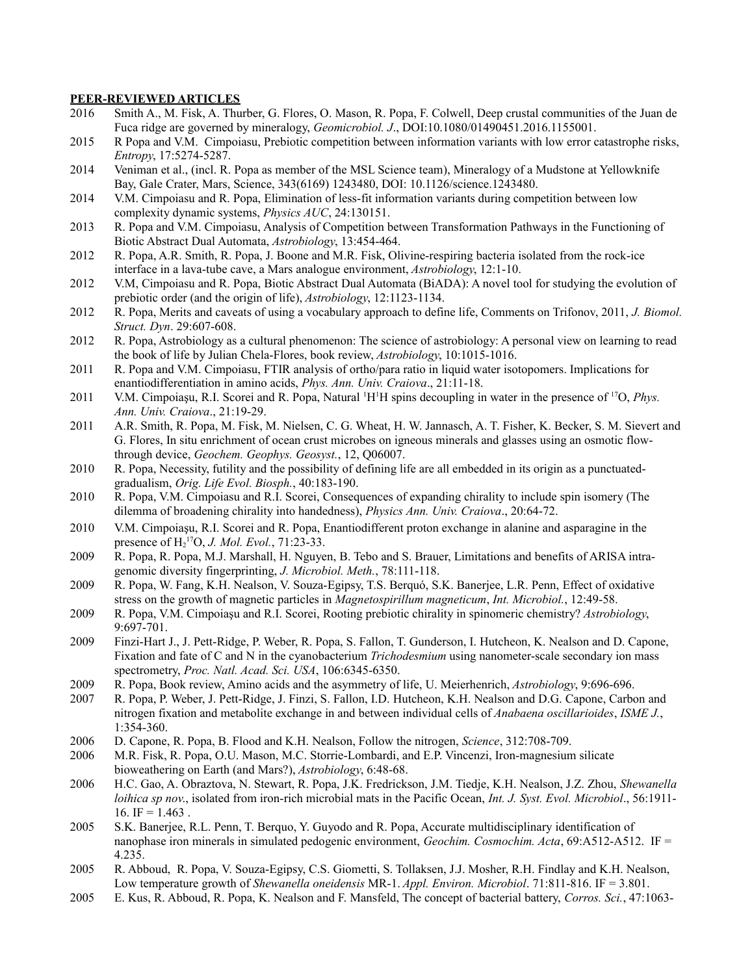#### **PEER-REVIEWED ARTICLES**

- 2016 Smith A., M. Fisk, A. Thurber, G. Flores, O. Mason, R. Popa, F. Colwell, Deep crustal communities of the Juan de Fuca ridge are governed by mineralogy, *Geomicrobiol. J*., DOI:10.1080/01490451.2016.1155001.
- 2015 R Popa and V.M. Cimpoiasu, Prebiotic competition between information variants with low error catastrophe risks, *Entropy*, 17:5274-5287.
- 2014 Veniman et al., (incl. R. Popa as member of the MSL Science team), Mineralogy of a Mudstone at Yellowknife Bay, Gale Crater, Mars, Science, 343(6169) 1243480, DOI: 10.1126/science.1243480.
- 2014 V.M. Cimpoiasu and R. Popa, Elimination of less-fit information variants during competition between low complexity dynamic systems, *Physics AUC*, 24:130151.
- 2013 R. Popa and V.M. Cimpoiasu, Analysis of Competition between Transformation Pathways in the Functioning of Biotic Abstract Dual Automata, *Astrobiology*, 13:454-464.
- 2012 R. Popa, A.R. Smith, R. Popa, J. Boone and M.R. Fisk, Olivine-respiring bacteria isolated from the rock-ice interface in a lava-tube cave, a Mars analogue environment, *Astrobiology*, 12:1-10.
- 2012 V.M, Cimpoiasu and R. Popa, Biotic Abstract Dual Automata (BiADA): A novel tool for studying the evolution of prebiotic order (and the origin of life), *Astrobiology*, 12:1123-1134.
- 2012 R. Popa, Merits and caveats of using a vocabulary approach to define life, Comments on Trifonov, 2011, *J. Biomol. Struct. Dyn*. 29:607-608.
- 2012 R. Popa, Astrobiology as a cultural phenomenon: The science of astrobiology: A personal view on learning to read the book of life by Julian Chela-Flores, book review, *Astrobiology*, 10:1015-1016.
- 2011 R. Popa and V.M. Cimpoiasu, FTIR analysis of ortho/para ratio in liquid water isotopomers. Implications for enantiodifferentiation in amino acids, *Phys. Ann. Univ. Craiova*., 21:11-18.
- 2011 V.M. Cimpoiașu, R.I. Scorei and R. Popa, Natural <sup>1</sup>H<sup>1</sup>H spins decoupling in water in the presence of <sup>17</sup>O, *Phys. Ann. Univ. Craiova*., 21:19-29.
- 2011 A.R. Smith, R. Popa, M. Fisk, M. Nielsen, C. G. Wheat, H. W. Jannasch, A. T. Fisher, K. Becker, S. M. Sievert and G. Flores, In situ enrichment of ocean crust microbes on igneous minerals and glasses using an osmotic flowthrough device, *Geochem. Geophys. Geosyst.*, 12, Q06007.
- 2010 R. Popa, Necessity, futility and the possibility of defining life are all embedded in its origin as a punctuatedgradualism, *Orig. Life Evol. Biosph.*, 40:183-190.
- 2010 R. Popa, V.M. Cimpoiasu and R.I. Scorei, Consequences of expanding chirality to include spin isomery (The dilemma of broadening chirality into handedness), *Physics Ann. Univ. Craiova*., 20:64-72.
- 2010 V.M. Cimpoiaşu, R.I. Scorei and R. Popa, Enantiodifferent proton exchange in alanine and asparagine in the presence of  $H_2^{17}O$ , *J. Mol. Evol.*, 71:23-33.
- 2009 R. Popa, R. Popa, M.J. Marshall, H. Nguyen, B. Tebo and S. Brauer, Limitations and benefits of ARISA intragenomic diversity fingerprinting, *J. Microbiol. Meth.*, 78:111-118.
- 2009 R. Popa, W. Fang, K.H. Nealson, V. Souza-Egipsy, T.S. Berquó, S.K. Banerjee, L.R. Penn, Effect of oxidative stress on the growth of magnetic particles in *Magnetospirillum magneticum*, *Int. Microbiol.*, 12:49-58.
- 2009 R. Popa, V.M. Cimpoiaşu and R.I. Scorei, Rooting prebiotic chirality in spinomeric chemistry? *Astrobiology*, 9:697-701.
- 2009 Finzi-Hart J., J. Pett-Ridge, P. Weber, R. Popa, S. Fallon, T. Gunderson, I. Hutcheon, K. Nealson and D. Capone, Fixation and fate of C and N in the cyanobacterium *Trichodesmium* using nanometer-scale secondary ion mass spectrometry, *Proc. Natl. Acad. Sci. USA*, 106:6345-6350.
- 2009 R. Popa, Book review, Amino acids and the asymmetry of life, U. Meierhenrich, *Astrobiology*, 9:696-696.
- 2007 R. Popa, P. Weber, J. Pett-Ridge, J. Finzi, S. Fallon, I.D. Hutcheon, K.H. Nealson and D.G. Capone, Carbon and nitrogen fixation and metabolite exchange in and between individual cells of *Anabaena oscillarioides*, *ISME J.*, 1:354-360.
- 2006 D. Capone, R. Popa, B. Flood and K.H. Nealson, Follow the nitrogen, *Science*, 312:708-709.
- 2006 M.R. Fisk, R. Popa, O.U. Mason, M.C. Storrie-Lombardi, and E.P. Vincenzi, Iron-magnesium silicate bioweathering on Earth (and Mars?), *Astrobiology*, 6:48-68.
- 2006 H.C. Gao, A. Obraztova, N. Stewart, R. Popa, J.K. Fredrickson, J.M. Tiedje, K.H. Nealson, J.Z. Zhou, *Shewanella loihica sp nov*., isolated from iron-rich microbial mats in the Pacific Ocean, *Int. J. Syst. Evol. Microbiol*., 56:1911- 16. IF =  $1.463$ .
- 2005 S.K. Banerjee, R.L. Penn, T. Berquo, Y. Guyodo and R. Popa, Accurate multidisciplinary identification of nanophase iron minerals in simulated pedogenic environment, *Geochim. Cosmochim. Acta*, 69:A512-A512. IF = 4.235.
- 2005 R. Abboud, R. Popa, V. Souza-Egipsy, C.S. Giometti, S. Tollaksen, J.J. Mosher, R.H. Findlay and K.H. Nealson, Low temperature growth of *Shewanella oneidensis* MR-1. *Appl. Environ. Microbiol*. 71:811-816. IF = 3.801.
- 2005 E. Kus, R. Abboud, R. Popa, K. Nealson and F. Mansfeld, The concept of bacterial battery, *Corros. Sci.*, 47:1063-